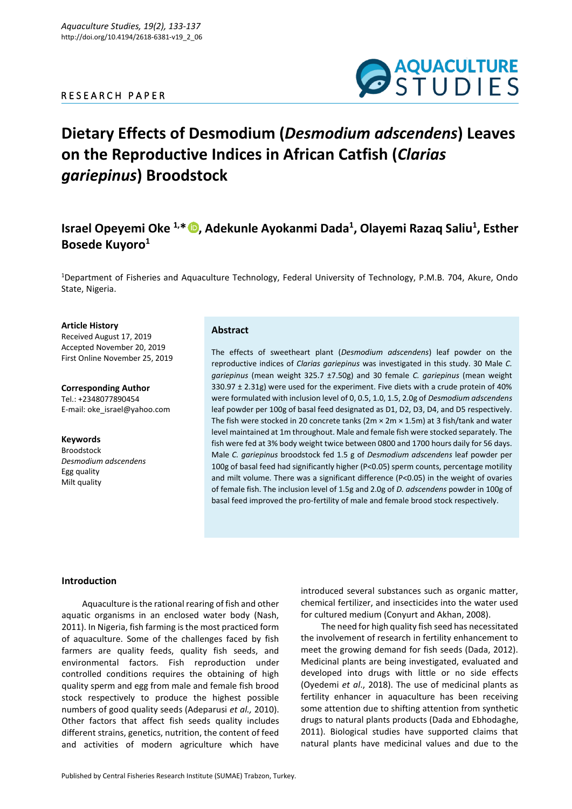# R E S E A R C H P A P E R



# **Dietary Effects of Desmodium (***Desmodium adscendens***) Leaves on the Reproductive Indices in African Catfish (***Clarias gariepinus***) Broodstock**

# **Israel Opeyemi Oke 1,\* [,](https://orcid.org/0000-0002-9657-6893) Adekunle Ayokanmi Dada<sup>1</sup> , Olayemi Razaq Saliu<sup>1</sup> , Esther Bosede Kuyoro<sup>1</sup>**

<sup>1</sup>Department of Fisheries and Aquaculture Technology, Federal University of Technology, P.M.B. 704, Akure, Ondo State, Nigeria.

#### **Article History**

Received August 17, 2019 Accepted November 20, 2019 First Online November 25, 2019

**Corresponding Author** Tel.: +2348077890454 E-mail: oke\_israel@yahoo.com

**Keywords** Broodstock *Desmodium adscendens* Egg quality Milt quality

# **Abstract**

The effects of sweetheart plant (*Desmodium adscendens*) leaf powder on the reproductive indices of *Clarias gariepinus* was investigated in this study. 30 Male *C. gariepinus* (mean weight 325.7 ±7.50g) and 30 female *C. gariepinus* (mean weight 330.97 ± 2.31g) were used for the experiment. Five diets with a crude protein of 40% were formulated with inclusion level of 0, 0.5, 1.0, 1.5, 2.0g of *Desmodium adscendens* leaf powder per 100g of basal feed designated as D1, D2, D3, D4, and D5 respectively. The fish were stocked in 20 concrete tanks ( $2m \times 2m \times 1.5m$ ) at 3 fish/tank and water level maintained at 1m throughout. Male and female fish were stocked separately. The fish were fed at 3% body weight twice between 0800 and 1700 hours daily for 56 days. Male *C. gariepinus* broodstock fed 1.5 g of *Desmodium adscendens* leaf powder per 100g of basal feed had significantly higher (P<0.05) sperm counts, percentage motility and milt volume. There was a significant difference (P<0.05) in the weight of ovaries of female fish. The inclusion level of 1.5g and 2.0g of *D. adscendens* powder in 100g of basal feed improved the pro-fertility of male and female brood stock respectively.

#### **Introduction**

Aquaculture is the rational rearing of fish and other aquatic organisms in an enclosed water body (Nash, 2011). In Nigeria, fish farming is the most practiced form of aquaculture. Some of the challenges faced by fish farmers are quality feeds, quality fish seeds, and environmental factors. Fish reproduction under controlled conditions requires the obtaining of high quality sperm and egg from male and female fish brood stock respectively to produce the highest possible numbers of good quality seeds (Adeparusi *et al.,* 2010). Other factors that affect fish seeds quality includes different strains, genetics, nutrition, the content of feed and activities of modern agriculture which have

chemical fertilizer, and insecticides into the water used for cultured medium (Conyurt and Akhan, 2008). The need for high quality fish seed has necessitated

the involvement of research in fertility enhancement to meet the growing demand for fish seeds (Dada, 2012). Medicinal plants are being investigated, evaluated and developed into drugs with little or no side effects (Oyedemi *et al*., 2018). The use of medicinal plants as fertility enhancer in aquaculture has been receiving some attention due to shifting attention from synthetic drugs to natural plants products (Dada and Ebhodaghe, 2011). Biological studies have supported claims that natural plants have medicinal values and due to the

introduced several substances such as organic matter,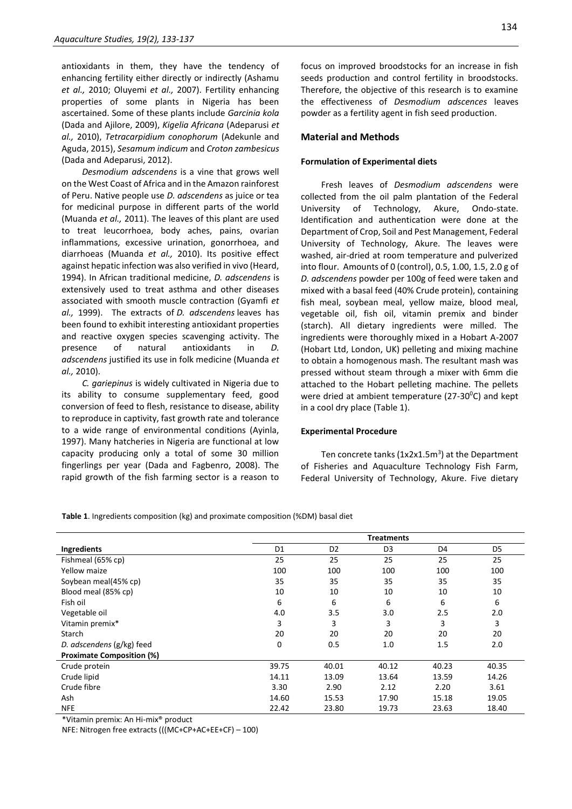antioxidants in them, they have the tendency of enhancing fertility either directly or indirectly (Ashamu *et al.,* 2010; Oluyemi *et al.,* 2007). Fertility enhancing properties of some plants in Nigeria has been ascertained. Some of these plants include *Garcinia kola*  (Dada and Ajilore, 2009), *Kigelia Africana* (Adeparusi *et al.,* 2010), *Tetracarpidium conophorum* (Adekunle and Aguda, 2015), *Sesamum indicum* and *Croton zambesicus*  (Dada and Adeparusi, 2012).

*Desmodium adscendens* is a vine that grows well on the West Coast of Africa and in the Amazon rainforest of Peru. Native people use *D. adscendens* as juice or tea for medicinal purpose in different parts of the world (Muanda *et al.,* 2011). The leaves of this plant are used to treat leucorrhoea, body aches, pains, ovarian inflammations, excessive urination, gonorrhoea, and diarrhoeas (Muanda *et al.,* 2010). Its positive effect against hepatic infection was also verified in vivo (Heard, 1994). In African traditional medicine, *D. adscendens* is extensively used to treat asthma and other diseases associated with smooth muscle contraction (Gyamfi *et al.,* 1999). The extracts of *D. adscendens* leaves has been found to exhibit interesting antioxidant properties and reactive oxygen species scavenging activity. The presence of natural antioxidants in *D. adscendens* justified its use in folk medicine (Muanda *et al.,* 2010).

*C. gariepinus* is widely cultivated in Nigeria due to its ability to consume supplementary feed, good conversion of feed to flesh, resistance to disease, ability to reproduce in captivity, fast growth rate and tolerance to a wide range of environmental conditions (Ayinla, 1997). Many hatcheries in Nigeria are functional at low capacity producing only a total of some 30 million fingerlings per year (Dada and Fagbenro, 2008). The rapid growth of the fish farming sector is a reason to focus on improved broodstocks for an increase in fish seeds production and control fertility in broodstocks. Therefore, the objective of this research is to examine the effectiveness of *Desmodium adscences* leaves powder as a fertility agent in fish seed production.

#### **Material and Methods**

#### **Formulation of Experimental diets**

Fresh leaves of *Desmodium adscendens* were collected from the oil palm plantation of the Federal University of Technology, Akure, Ondo-state. Identification and authentication were done at the Department of Crop, Soil and Pest Management, Federal University of Technology, Akure. The leaves were washed, air-dried at room temperature and pulverized into flour. Amounts of 0 (control), 0.5, 1.00, 1.5, 2.0 g of *D. adscendens* powder per 100g of feed were taken and mixed with a basal feed (40% Crude protein), containing fish meal, soybean meal, yellow maize, blood meal, vegetable oil, fish oil, vitamin premix and binder (starch). All dietary ingredients were milled. The ingredients were thoroughly mixed in a Hobart A-2007 (Hobart Ltd, London, UK) pelleting and mixing machine to obtain a homogenous mash. The resultant mash was pressed without steam through a mixer with 6mm die attached to the Hobart pelleting machine. The pellets were dried at ambient temperature ( $27-30$ <sup>o</sup>C) and kept in a cool dry place (Table 1).

#### **Experimental Procedure**

Ten concrete tanks  $(1x2x1.5m<sup>3</sup>)$  at the Department of Fisheries and Aquaculture Technology Fish Farm, Federal University of Technology, Akure. Five dietary

**Table 1**. Ingredients composition (kg) and proximate composition (%DM) basal diet

|                                  | <b>Treatments</b> |                |                |       |       |  |
|----------------------------------|-------------------|----------------|----------------|-------|-------|--|
| Ingredients                      | D <sub>1</sub>    | D <sub>2</sub> | D <sub>3</sub> | D4    | D5    |  |
| Fishmeal (65% cp)                | 25                | 25             | 25             | 25    | 25    |  |
| Yellow maize                     | 100               | 100            | 100            | 100   | 100   |  |
| Soybean meal(45% cp)             | 35                | 35             | 35             | 35    | 35    |  |
| Blood meal (85% cp)              | 10                | 10             | 10             | 10    | 10    |  |
| Fish oil                         | 6                 | 6              | 6              | 6     | 6     |  |
| Vegetable oil                    | 4.0               | 3.5            | 3.0            | 2.5   | 2.0   |  |
| Vitamin premix*                  | 3                 | 3              | 3              | 3     | 3     |  |
| Starch                           | 20                | 20             | 20             | 20    | 20    |  |
| D. adscendens (g/kg) feed        | 0                 | 0.5            | 1.0            | 1.5   | 2.0   |  |
| <b>Proximate Composition (%)</b> |                   |                |                |       |       |  |
| Crude protein                    | 39.75             | 40.01          | 40.12          | 40.23 | 40.35 |  |
| Crude lipid                      | 14.11             | 13.09          | 13.64          | 13.59 | 14.26 |  |
| Crude fibre                      | 3.30              | 2.90           | 2.12           | 2.20  | 3.61  |  |
| Ash                              | 14.60             | 15.53          | 17.90          | 15.18 | 19.05 |  |
| <b>NFE</b>                       | 22.42             | 23.80          | 19.73          | 23.63 | 18.40 |  |

\*Vitamin premix: An Hi-mix® product

NFE: Nitrogen free extracts (((MC+CP+AC+EE+CF) – 100)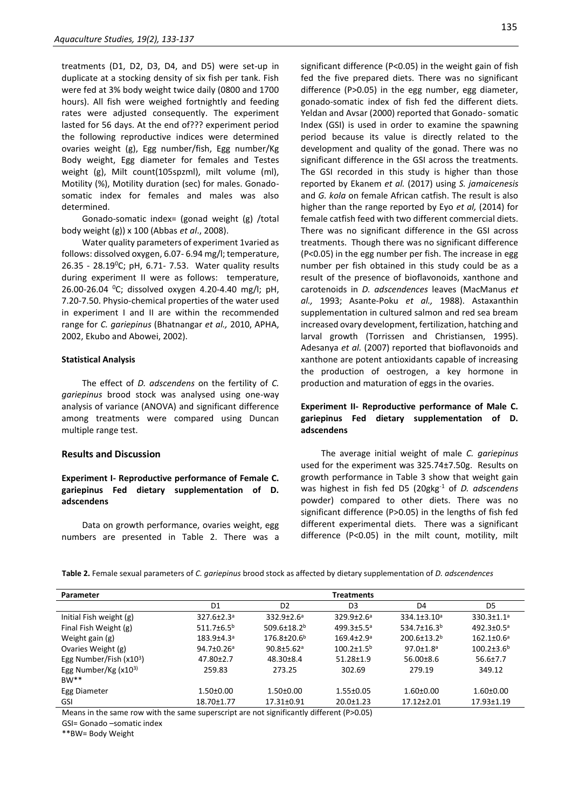treatments (D1, D2, D3, D4, and D5) were set-up in duplicate at a stocking density of six fish per tank. Fish were fed at 3% body weight twice daily (0800 and 1700 hours). All fish were weighed fortnightly and feeding rates were adjusted consequently. The experiment lasted for 56 days. At the end of??? experiment period the following reproductive indices were determined ovaries weight (g), Egg number/fish, Egg number/Kg Body weight, Egg diameter for females and Testes weight (g), Milt count(105spzml), milt volume (ml), Motility (%), Motility duration (sec) for males. Gonadosomatic index for females and males was also determined.

Gonado-somatic index= (gonad weight (g) /total body weight (g)) x 100 (Abbas *et al*., 2008).

Water quality parameters of experiment 1varied as follows: dissolved oxygen, 6.07- 6.94 mg/l; temperature, 26.35 - 28.19<sup>0</sup>C; pH, 6.71 - 7.53. Water quality results during experiment II were as follows: temperature, 26.00-26.04 <sup>0</sup>C; dissolved oxygen 4.20-4.40 mg/l; pH, 7.20-7.50. Physio-chemical properties of the water used in experiment I and II are within the recommended range for *C. gariepinus* (Bhatnangar *et al.,* 2010, APHA, 2002, Ekubo and Abowei, 2002).

#### **Statistical Analysis**

The effect of *D. adscendens* on the fertility of *C. gariepinus* brood stock was analysed using one-way analysis of variance (ANOVA) and significant difference among treatments were compared using Duncan multiple range test.

### **Results and Discussion**

# **Experiment I- Reproductive performance of Female C. gariepinus Fed dietary supplementation of D. adscendens**

Data on growth performance, ovaries weight, egg numbers are presented in Table 2. There was a

significant difference (P<0.05) in the weight gain of fish fed the five prepared diets. There was no significant difference (P>0.05) in the egg number, egg diameter, gonado-somatic index of fish fed the different diets. Yeldan and Avsar (2000) reported that Gonado- somatic Index (GSI) is used in order to examine the spawning period because its value is directly related to the development and quality of the gonad. There was no significant difference in the GSI across the treatments. The GSI recorded in this study is higher than those reported by Ekanem *et al.* (2017) using *S. jamaicenesis*  and *G. kola* on female African catfish. The result is also higher than the range reported by Eyo *et al,* (2014) for female catfish feed with two different commercial diets. There was no significant difference in the GSI across treatments. Though there was no significant difference (P<0.05) in the egg number per fish. The increase in egg number per fish obtained in this study could be as a result of the presence of bioflavonoids, xanthone and carotenoids in *D. adscendences* leaves (MacManus *et al.,* 1993; Asante-Poku *et al.,* 1988). Astaxanthin supplementation in cultured salmon and red sea bream increased ovary development, fertilization, hatching and larval growth (Torrissen and Christiansen, 1995). Adesanya *et al.* (2007) reported that bioflavonoids and xanthone are potent antioxidants capable of increasing the production of oestrogen, a key hormone in production and maturation of eggs in the ovaries.

# **Experiment II- Reproductive performance of Male C. gariepinus Fed dietary supplementation of D. adscendens**

The average initial weight of male *C. gariepinus* used for the experiment was 325.74±7.50g. Results on growth performance in Table 3 show that weight gain was highest in fish fed D5 (20gkg-1 of *D. adscendens*  powder) compared to other diets. There was no significant difference (P>0.05) in the lengths of fish fed different experimental diets. There was a significant difference (P<0.05) in the milt count, motility, milt

**Table 2.** Female sexual parameters of *C. gariepinus* brood stock as affected by dietary supplementation of *D. adscendences*

| Parameter                | <b>Treatments</b>            |                               |                            |                               |                              |  |  |
|--------------------------|------------------------------|-------------------------------|----------------------------|-------------------------------|------------------------------|--|--|
|                          | D1                           | D <sub>2</sub>                | D <sub>3</sub>             | D4                            | D5                           |  |  |
| Initial Fish weight (g)  | $327.6 \pm 2.3$ <sup>a</sup> | $332.9 \pm 2.6^{\circ}$       | $329.9 + 2.6^a$            | $334.1 \pm 3.10^a$            | $330.3 \pm 1.1$ <sup>a</sup> |  |  |
| Final Fish Weight (g)    | $511.7 \pm 6.5^{\circ}$      | $509.6 \pm 18.2$ <sup>b</sup> | $499.3 \pm 5.5^{\circ}$    | $534.7 \pm 16.3$ <sup>b</sup> | $492.3 \pm 0.5^{\circ}$      |  |  |
| Weight gain (g)          | $183.9 + 4.3a$               | $176.8 \pm 20.6^{\circ}$      | $169.4{\pm}2.9^{\circ}$    | $200.6 \pm 13.2$ <sup>b</sup> | $162.1 \pm 0.6^a$            |  |  |
| Ovaries Weight (g)       | $94.7 \pm 0.26$ <sup>a</sup> | $90.8 \pm 5.62$ <sup>a</sup>  | $100.2 \pm 1.5^{\text{b}}$ | $97.0 \pm 1.8$ <sup>a</sup>   | $100.2 \pm 3.6^b$            |  |  |
| Egg Number/Fish $(x103)$ | $47.80 \pm 2.7$              | $48.30 \pm 8.4$               | $51.28 \pm 1.9$            | $56.00 \pm 8.6$               | $56.6 \pm 7.7$               |  |  |
| Egg Number/Kg $(x10^3)$  | 259.83                       | 273.25                        | 302.69                     | 279.19                        | 349.12                       |  |  |
| $BW**$                   |                              |                               |                            |                               |                              |  |  |
| Egg Diameter             | $1.50 \pm 0.00$              | $1.50 \pm 0.00$               | $1.55 \pm 0.05$            | $1.60 \pm 0.00$               | $1.60 \pm 0.00$              |  |  |
| GSI                      | 18.70±1.77                   | 17.31±0.91                    | $20.0 \pm 1.23$            | $17.12 \pm 2.01$              | 17.93±1.19                   |  |  |

Means in the same row with the same superscript are not significantly different (P>0.05)

GSI= Gonado –somatic index

\*\*BW= Body Weight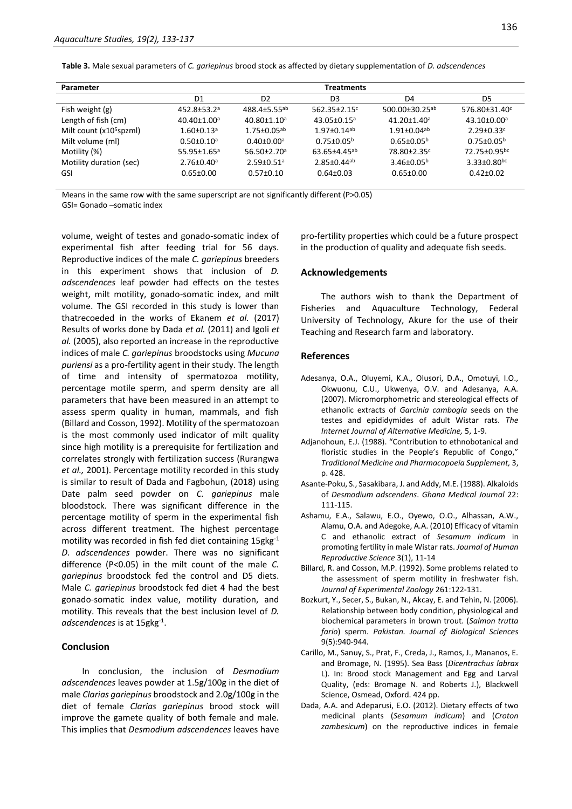**Table 3.** Male sexual parameters of *C. gariepinus* brood stock as affected by dietary supplementation of *D. adscendences*

| Parameter                           | <b>Treatments</b>             |                               |                                |                               |                               |  |  |
|-------------------------------------|-------------------------------|-------------------------------|--------------------------------|-------------------------------|-------------------------------|--|--|
|                                     | D1                            | D <sub>2</sub>                | D <sub>3</sub>                 | D4                            | D5                            |  |  |
| Fish weight (g)                     | 452.8±53.2ª                   | $488.4 + 5.55$ <sup>ab</sup>  | 562.35±2.15c                   | 500.00±30.25ab                | 576.80±31.40c                 |  |  |
| Length of fish (cm)                 | $40.40 \pm 1.00$ <sup>a</sup> | $40.80 \pm 1.10^a$            | $43.05 \pm 0.15^a$             | $41.20 \pm 1.40^a$            | $43.10 \pm 0.00^a$            |  |  |
| Milt count (x10 <sup>5</sup> spzml) | $1.60 \pm 0.13$ <sup>a</sup>  | $1.75 \pm 0.05^{ab}$          | $1.97 + 0.14$ <sup>ab</sup>    | $1.91 \pm 0.04$ <sup>ab</sup> | $2.29 \pm 0.33$ <sup>c</sup>  |  |  |
| Milt volume (ml)                    | $0.50 \pm 0.10^a$             | $0.40 \pm 0.00$ <sup>a</sup>  | $0.75 \pm 0.05^{\rm b}$        | $0.65 \pm 0.05^{\circ}$       | $0.75 \pm 0.05^{\rm b}$       |  |  |
| Motility (%)                        | $55.95 \pm 1.65$ <sup>a</sup> | $56.50 \pm 2.70$ <sup>a</sup> | $63.65 \pm 4.45$ <sup>ab</sup> | 78.80±2.35 <sup>c</sup>       | 72.75±0.95bc                  |  |  |
| Motility duration (sec)             | $2.76 \pm 0.40$ <sup>a</sup>  | $2.59 \pm 0.51$ <sup>a</sup>  | $2.85 \pm 0.44$ <sup>ab</sup>  | $3.46 \pm 0.05^{\circ}$       | $3.33 \pm 0.80$ <sub>bc</sub> |  |  |
| <b>GSI</b>                          | $0.65 \pm 0.00$               | $0.57 \pm 0.10$               | $0.64 \pm 0.03$                | $0.65 \pm 0.00$               | $0.42 \pm 0.02$               |  |  |

Means in the same row with the same superscript are not significantly different (P>0.05)

GSI= Gonado –somatic index

volume, weight of testes and gonado-somatic index of experimental fish after feeding trial for 56 days. Reproductive indices of the male *C. gariepinus* breeders in this experiment shows that inclusion of *D. adscendences* leaf powder had effects on the testes weight, milt motility, gonado-somatic index, and milt volume. The GSI recorded in this study is lower than thatrecoeded in the works of Ekanem *et al.* (2017) Results of works done by Dada *et al.* (2011) and Igoli *et al.* (2005), also reported an increase in the reproductive indices of male *C. gariepinus* broodstocks using *Mucuna puriensi* as a pro-fertility agent in their study. The length of time and intensity of spermatozoa motility, percentage motile sperm, and sperm density are all parameters that have been measured in an attempt to assess sperm quality in human, mammals, and fish (Billard and Cosson, 1992). Motility of the spermatozoan is the most commonly used indicator of milt quality since high motility is a prerequisite for fertilization and correlates strongly with fertilization success (Rurangwa *et al.,* 2001). Percentage motility recorded in this study is similar to result of Dada and Fagbohun, (2018) using Date palm seed powder on *C. gariepinus* male bloodstock. There was significant difference in the percentage motility of sperm in the experimental fish across different treatment. The highest percentage motility was recorded in fish fed diet containing 15gkg-1 *D. adscendences* powder. There was no significant difference (P<0.05) in the milt count of the male *C. gariepinus* broodstock fed the control and D5 diets. Male *C. gariepinus* broodstock fed diet 4 had the best gonado-somatic index value, motility duration, and motility. This reveals that the best inclusion level of *D. adscendences* is at 15gkg-1 .

# **Conclusion**

In conclusion, the inclusion of *Desmodium adscendences* leaves powder at 1.5g/100g in the diet of male *Clarias gariepinus* broodstock and 2.0g/100g in the diet of female *Clarias gariepinus* brood stock will improve the gamete quality of both female and male. This implies that *Desmodium adscendences* leaves have

pro-fertility properties which could be a future prospect in the production of quality and adequate fish seeds.

#### **Acknowledgements**

The authors wish to thank the Department of Fisheries and Aquaculture Technology, Federal University of Technology, Akure for the use of their Teaching and Research farm and laboratory.

#### **References**

- Adesanya, O.A., Oluyemi, K.A., Olusori, D.A., Omotuyi, I.O., Okwuonu, C.U., Ukwenya, O.V. and Adesanya, A.A. (2007). Micromorphometric and stereological effects of ethanolic extracts of *Garcinia cambogia* seeds on the testes and epididymides of adult Wistar rats. *The Internet Journal of Alternative Medicine,* 5, 1-9.
- Adjanohoun, E.J. (1988). "Contribution to ethnobotanical and floristic studies in the People's Republic of Congo," *Traditional Medicine and Pharmacopoeia Supplement,* 3, p. 428.
- Asante-Poku, S., Sasakibara, J. and Addy, M.E. (1988). Alkaloids of *Desmodium adscendens*. *Ghana Medical Journal* 22: 111-115.
- Ashamu, E.A., Salawu, E.O., Oyewo, O.O., Alhassan, A.W., Alamu, O.A. and Adegoke, A.A. (2010) Efficacy of vitamin C and ethanolic extract of *Sesamum indicum* in promoting fertility in male Wistar rats. *Journal of Human Reproductive Science* 3(1), 11-14
- Billard, R. and Cosson, M.P. (1992). Some problems related to the assessment of sperm motility in freshwater fish. *Journal of Experimental Zoology* 261:122-131.
- Bozkurt, Y., Secer, S., Bukan, N., Akcay, E. and Tehin, N. (2006). Relationship between body condition, physiological and biochemical parameters in brown trout. (*Salmon trutta fario*) sperm. *Pakistan. Journal of Biological Sciences* 9(5):940-944.
- Carillo, M., Sanuy, S., Prat, F., Creda, J., Ramos, J., Mananos, E. and Bromage, N. (1995). Sea Bass (*Dicentrachus labrax*  L). In: Brood stock Management and Egg and Larval Quality, (eds: Bromage N. and Roberts J.), Blackwell Science, Osmead, Oxford. 424 pp.
- Dada, A.A. and Adeparusi, E.O. (2012). Dietary effects of two medicinal plants (*Sesamum indicum*) and (*Croton zambesicum*) on the reproductive indices in female